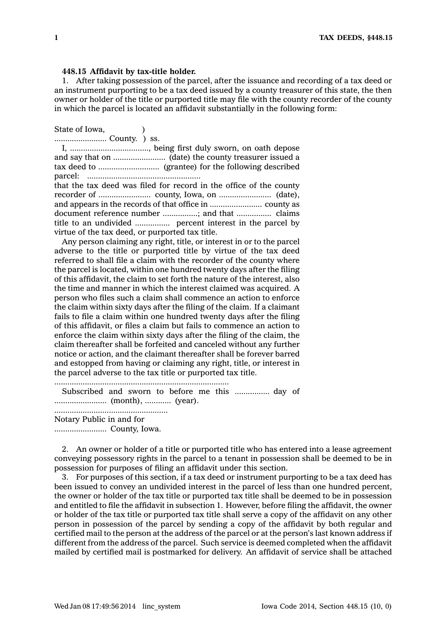## **448.15 Affidavit by tax-title holder.**

1. After taking possession of the parcel, after the issuance and recording of <sup>a</sup> tax deed or an instrument purporting to be <sup>a</sup> tax deed issued by <sup>a</sup> county treasurer of this state, the then owner or holder of the title or purported title may file with the county recorder of the county in which the parcel is located an affidavit substantially in the following form:

State of Iowa, (1) ........................ County. ) ss.

I, ...................................., being first duly sworn, on oath depose and say that on ........................ (date) the county treasurer issued <sup>a</sup> tax deed to ............................ (grantee) for the following described parcel: .................................................... that the tax deed was filed for record in the office of the county recorder of ........................ county, Iowa, on ........................ (date), and appears in the records of that office in ........................ county as document reference number ................; and that ................ claims title to an undivided ................ percent interest in the parcel by virtue of the tax deed, or purported tax title.

Any person claiming any right, title, or interest in or to the parcel adverse to the title or purported title by virtue of the tax deed referred to shall file <sup>a</sup> claim with the recorder of the county where the parcel is located, within one hundred twenty days after the filing of this affidavit, the claim to set forth the nature of the interest, also the time and manner in which the interest claimed was acquired. A person who files such <sup>a</sup> claim shall commence an action to enforce the claim within sixty days after the filing of the claim. If <sup>a</sup> claimant fails to file <sup>a</sup> claim within one hundred twenty days after the filing of this affidavit, or files <sup>a</sup> claim but fails to commence an action to enforce the claim within sixty days after the filing of the claim, the claim thereafter shall be forfeited and canceled without any further notice or action, and the claimant thereafter shall be forever barred and estopped from having or claiming any right, title, or interest in the parcel adverse to the tax title or purported tax title.

................................................................................ Subscribed and sworn to before me this ................ day of ........................ (month), ............ (year). .................................................... Notary Public in and for ........................ County, Iowa.

2. An owner or holder of <sup>a</sup> title or purported title who has entered into <sup>a</sup> lease agreement conveying possessory rights in the parcel to <sup>a</sup> tenant in possession shall be deemed to be in possession for purposes of filing an affidavit under this section.

3. For purposes of this section, if <sup>a</sup> tax deed or instrument purporting to be <sup>a</sup> tax deed has been issued to convey an undivided interest in the parcel of less than one hundred percent, the owner or holder of the tax title or purported tax title shall be deemed to be in possession and entitled to file the affidavit in subsection 1. However, before filing the affidavit, the owner or holder of the tax title or purported tax title shall serve <sup>a</sup> copy of the affidavit on any other person in possession of the parcel by sending <sup>a</sup> copy of the affidavit by both regular and certified mail to the person at the address of the parcel or at the person's last known address if different from the address of the parcel. Such service is deemed completed when the affidavit mailed by certified mail is postmarked for delivery. An affidavit of service shall be attached